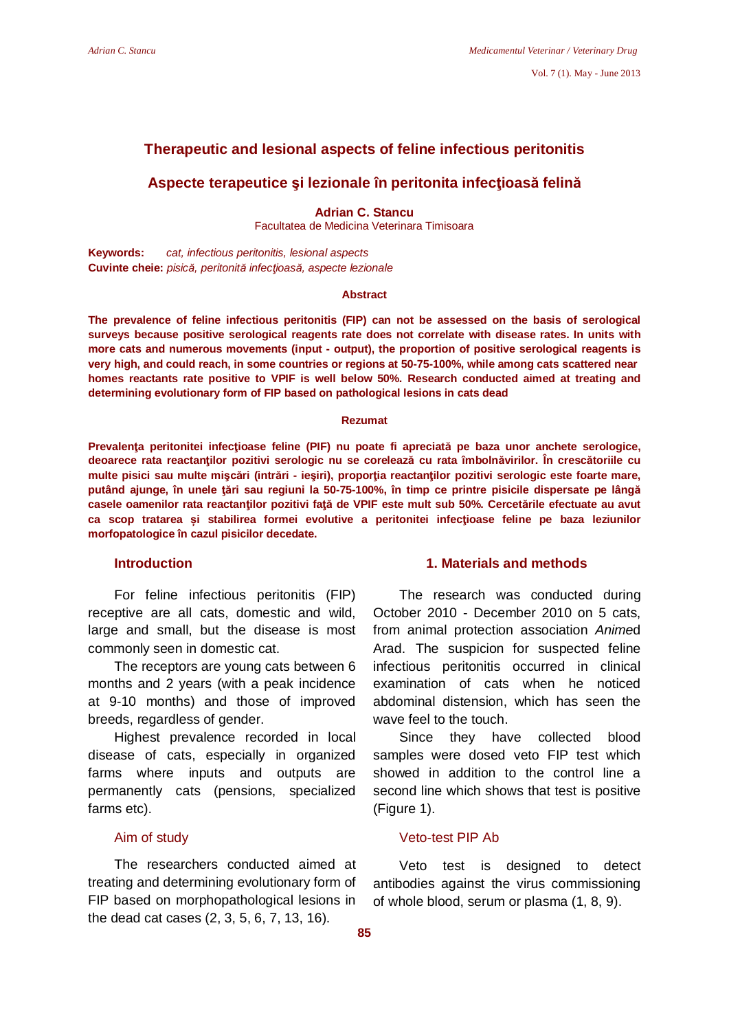## **Therapeutic and lesional aspects of feline infectious peritonitis**

# **Aspecte terapeutice și lezionale în peritonita infecțioasă felină**

**Adrian C. Stancu**  Facultatea de Medicina Veterinara Timisoara

**Keywords:** *cat, infectious peritonitis, lesional aspects* **Cuvinte cheie:** *pisică, peritonită infecĠioasă, aspecte lezionale* 

#### **Abstract**

**The prevalence of feline infectious peritonitis (FIP) can not be assessed on the basis of serological surveys because positive serological reagents rate does not correlate with disease rates. In units with more cats and numerous movements (input - output), the proportion of positive serological reagents is very high, and could reach, in some countries or regions at 50-75-100%, while among cats scattered near homes reactants rate positive to VPIF is well below 50%. Research conducted aimed at treating and determining evolutionary form of FIP based on pathological lesions in cats dead** 

#### **Rezumat**

**PrevalenĠa peritonitei infecĠioase feline (PIF) nu poate fi apreciată pe baza unor anchete serologice, deoarece rata reactanĠilor pozitivi serologic nu se corelează cu rata îmbolnăvirilor. În crescătoriile cu multe pisici sau multe miúFări (intrări - ieúiri), proporĠia reactanĠilor pozitivi serologic este foarte mare, putând ajunge, în unele Ġări sau regiuni la 50-75-100%, în timp ce printre pisicile dispersate pe lângă casele oamenilor rata reactanĠilor pozitivi faĠă de VPIF este mult sub 50%. Cercetările efectuate au avut**   $ca$  scop tratarea si stabilirea formei evolutive a peritonitei infectioase feline pe baza leziunilor **morfopatologice în cazul pisicilor decedate.** 

## **Introduction**

For feline infectious peritonitis (FIP) receptive are all cats, domestic and wild, large and small, but the disease is most commonly seen in domestic cat.

The receptors are young cats between 6 months and 2 years (with a peak incidence at 9-10 months) and those of improved breeds, regardless of gender.

Highest prevalence recorded in local disease of cats, especially in organized farms where inputs and outputs are permanently cats (pensions, specialized farms etc).

## Aim of study

The researchers conducted aimed at treating and determining evolutionary form of FIP based on morphopathological lesions in the dead cat cases (2, 3, 5, 6, 7, 13, 16).

## **1. Materials and methods**

The research was conducted during October 2010 - December 2010 on 5 cats, from animal protection association *Anime*d Arad. The suspicion for suspected feline infectious peritonitis occurred in clinical examination of cats when he noticed abdominal distension, which has seen the wave feel to the touch.

Since they have collected blood samples were dosed veto FIP test which showed in addition to the control line a second line which shows that test is positive (Figure 1).

# Veto-test PIP Ab

Veto test is designed to detect antibodies against the virus commissioning of whole blood, serum or plasma (1, 8, 9).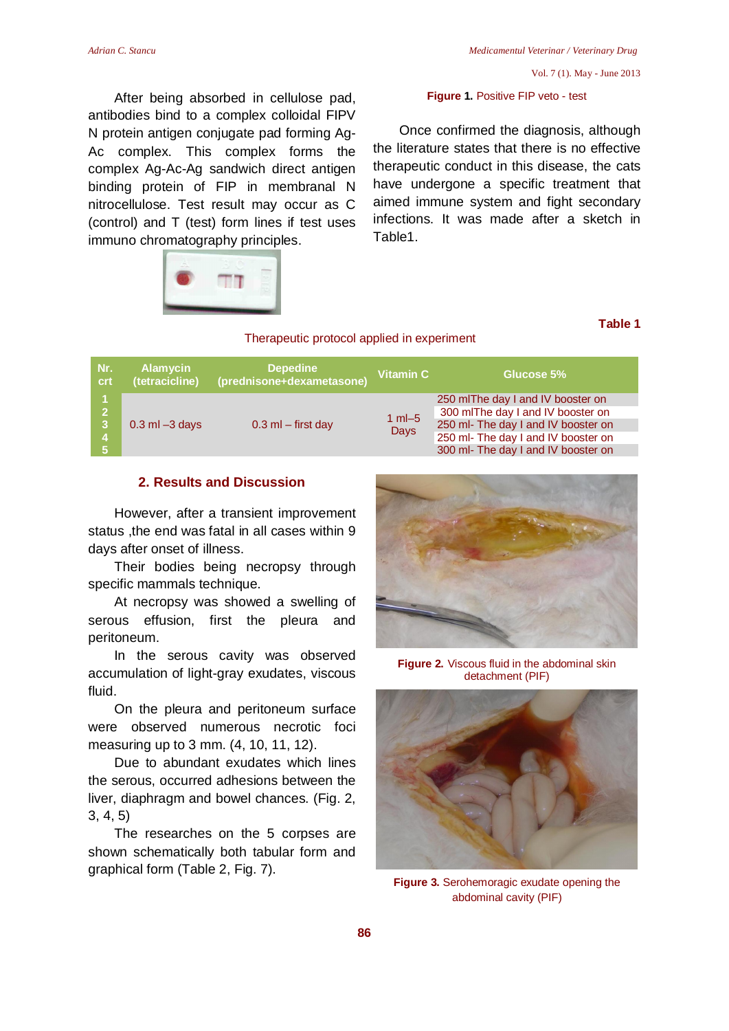After being absorbed in cellulose pad, antibodies bind to a complex colloidal FIPV N protein antigen conjugate pad forming Ag-Ac complex. This complex forms the complex Ag-Ac-Ag sandwich direct antigen binding protein of FIP in membranal N nitrocellulose. Test result may occur as C (control) and T (test) form lines if test uses immuno chromatography principles.

#### **Figure 1.** Positive FIP veto - test

Once confirmed the diagnosis, although the literature states that there is no effective therapeutic conduct in this disease, the cats have undergone a specific treatment that aimed immune system and fight secondary infections. It was made after a sketch in Table1.



#### Therapeutic protocol applied in experiment

# **Table 1**

| Nr.<br><b>crt</b>                                           | <b>Alamycin</b><br>(tetracicline) | Depedine<br>(prednisone+dexametasone) | Vitamin C                 | Glucose 5%                                                                                                                                                                                  |
|-------------------------------------------------------------|-----------------------------------|---------------------------------------|---------------------------|---------------------------------------------------------------------------------------------------------------------------------------------------------------------------------------------|
| 2 <sup>7</sup><br>$\sqrt{3}$<br>$\overline{4}$<br><b>57</b> | $0.3$ ml $-3$ days                | $0.3$ ml $-$ first day                | $1$ m $-5$<br><b>Days</b> | 250 mlThe day I and IV booster on<br>300 mlThe day I and IV booster on<br>250 ml- The day I and IV booster on<br>250 ml- The day I and IV booster on<br>300 ml- The day I and IV booster on |

## **2. Results and Discussion**

However, after a transient improvement status ,the end was fatal in all cases within 9 days after onset of illness.

Their bodies being necropsy through specific mammals technique.

At necropsy was showed a swelling of serous effusion, first the pleura and peritoneum.

In the serous cavity was observed accumulation of light-gray exudates, viscous fluid.

On the pleura and peritoneum surface were observed numerous necrotic foci measuring up to 3 mm. (4, 10, 11, 12).

Due to abundant exudates which lines the serous, occurred adhesions between the liver, diaphragm and bowel chances. (Fig. 2, 3, 4, 5)

The researches on the 5 corpses are shown schematically both tabular form and graphical form (Table 2, Fig. 7).



**Figure 2.** Viscous fluid in the abdominal skin detachment (PIF)



**Figure 3.** Serohemoragic exudate opening the abdominal cavity (PIF)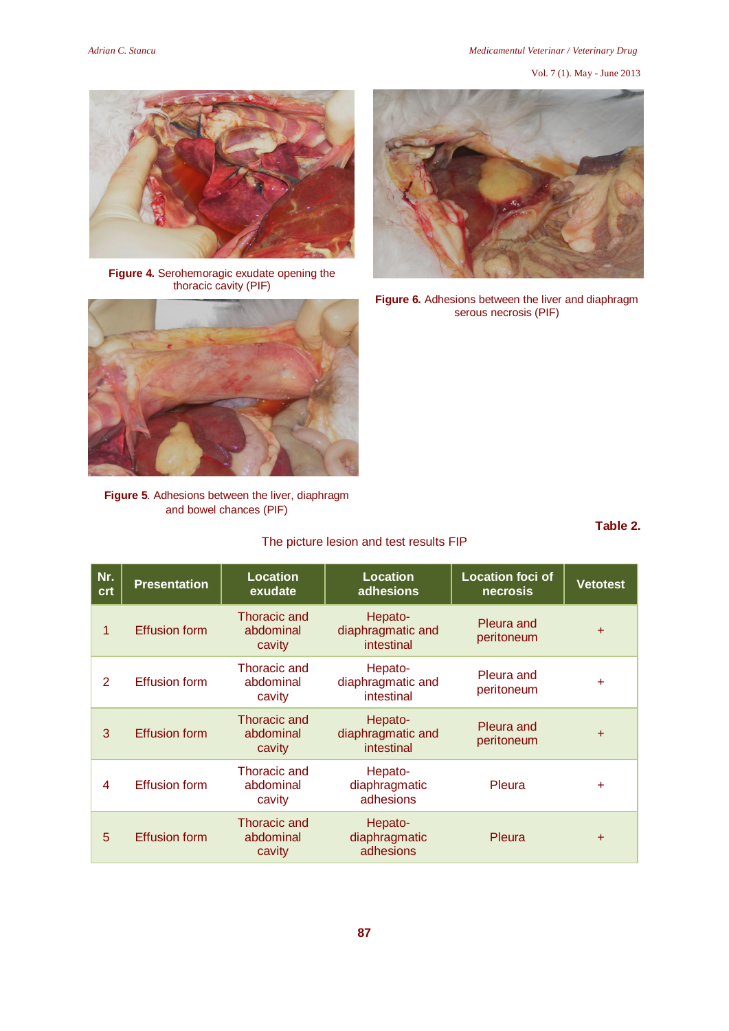#### *Adrian C. Stancu Medicamentul Veterinar / Veterinary Drug*

Vol. 7 (1). May - June 2013



**Figure 4.** Serohemoragic exudate opening the thoracic cavity (PIF)



**Figure 5**. Adhesions between the liver, diaphragm and bowel chances (PIF)

The picture lesion and test results FIP



**Figure 6.** Adhesions between the liver and diaphragm serous necrosis (PIF)

| .<br>× | ۰. | ۰.<br>× |  |
|--------|----|---------|--|

| Nr.<br>crt | <b>Presentation</b>  | <b>Location</b><br>exudate          | <b>Location</b><br>adhesions               | <b>Location foci of</b><br>necrosis | <b>Vetotest</b> |
|------------|----------------------|-------------------------------------|--------------------------------------------|-------------------------------------|-----------------|
| 1          | <b>Effusion form</b> | Thoracic and<br>abdominal<br>cavity | Hepato-<br>diaphragmatic and<br>intestinal | Pleura and<br>peritoneum            | $\ddot{}$       |
| 2          | <b>Effusion form</b> | Thoracic and<br>abdominal<br>cavity | Hepato-<br>diaphragmatic and<br>intestinal | Pleura and<br>peritoneum            | $+$             |
| 3          | <b>Effusion form</b> | Thoracic and<br>abdominal<br>cavity | Hepato-<br>diaphragmatic and<br>intestinal | Pleura and<br>peritoneum            | $\ddot{}$       |
| 4          | <b>Effusion form</b> | Thoracic and<br>abdominal<br>cavity | Hepato-<br>diaphragmatic<br>adhesions      | Pleura                              | ÷               |
| 5          | <b>Effusion form</b> | Thoracic and<br>abdominal<br>cavity | Hepato-<br>diaphragmatic<br>adhesions      | Pleura                              | $+$             |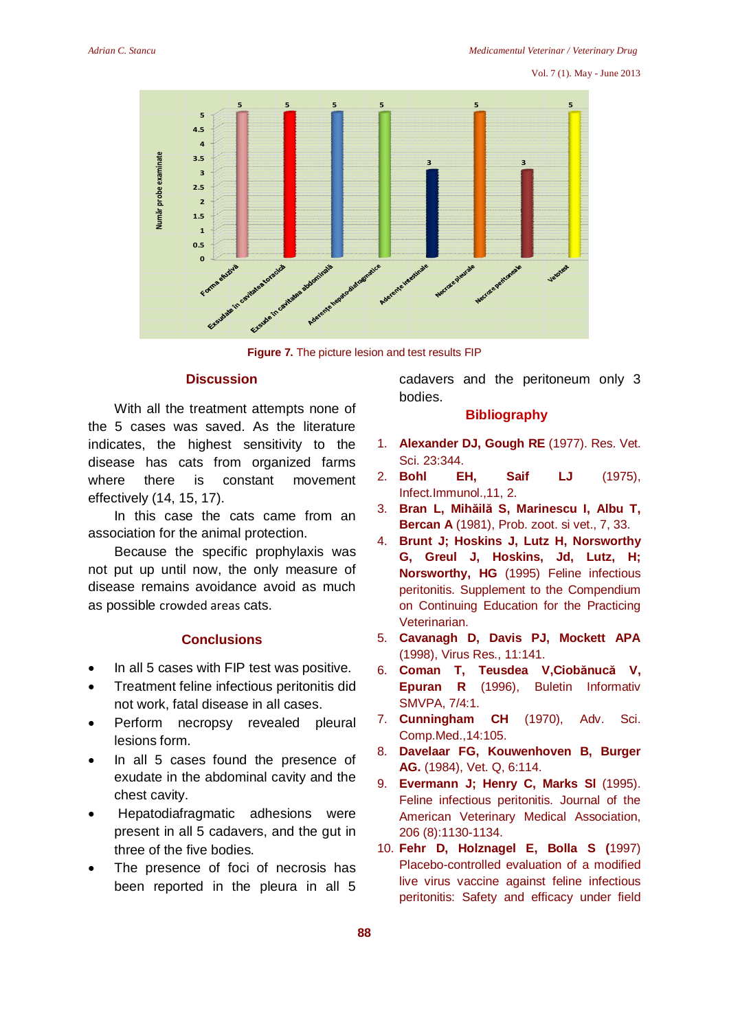#### Vol. 7 (1). May - June 2013



**Figure 7.** The picture lesion and test results FIP

# **Discussion**

With all the treatment attempts none of the 5 cases was saved. As the literature indicates, the highest sensitivity to the disease has cats from organized farms where there is constant movement effectively (14, 15, 17).

In this case the cats came from an association for the animal protection.

Because the specific prophylaxis was not put up until now, the only measure of disease remains avoidance avoid as much as possible crowded areas cats.

### **Conclusions**

- In all 5 cases with FIP test was positive.
- Treatment feline infectious peritonitis did not work, fatal disease in all cases.
- Perform necropsy revealed pleural lesions form.
- In all 5 cases found the presence of exudate in the abdominal cavity and the chest cavity.
- Hepatodiafragmatic adhesions were present in all 5 cadavers, and the gut in three of the five bodies.
- The presence of foci of necrosis has been reported in the pleura in all 5

cadavers and the peritoneum only 3 bodies.

## **Bibliography**

- 1. **Alexander DJ, Gough RE** (1977). Res. Vet. Sci. 23:344.
- 2. **Bohl EH, Saif LJ** (1975), Infect.Immunol.,11, 2.
- 3. **Bran L, Mihăilă S, Marinescu I, Albu T, Bercan A** (1981), Prob. zoot. si vet., 7, 33.
- 4. **Brunt J; Hoskins J, Lutz H, Norsworthy G, Greul J, Hoskins, Jd, Lutz, H; Norsworthy, HG** (1995) Feline infectious peritonitis. Supplement to the Compendium on Continuing Education for the Practicing Veterinarian.
- 5. **Cavanagh D, Davis PJ, Mockett APA** (1998), Virus Res., 11:141.
- 6. **Coman T, Teusdea V,Ciobănucă V, Epuran R** (1996), Buletin Informativ SMVPA, 7/4:1.
- 7. **Cunningham CH** (1970), Adv. Sci. Comp.Med.,14:105.
- 8. **Davelaar FG, Kouwenhoven B, Burger AG.** (1984), Vet. Q, 6:114.
- 9. **Evermann J; Henry C, Marks Sl** (1995). Feline infectious peritonitis. Journal of the American Veterinary Medical Association, 206 (8):1130-1134.
- 10. **Fehr D, Holznagel E, Bolla S (**1997) Placebo-controlled evaluation of a modified live virus vaccine against feline infectious peritonitis: Safety and efficacy under field